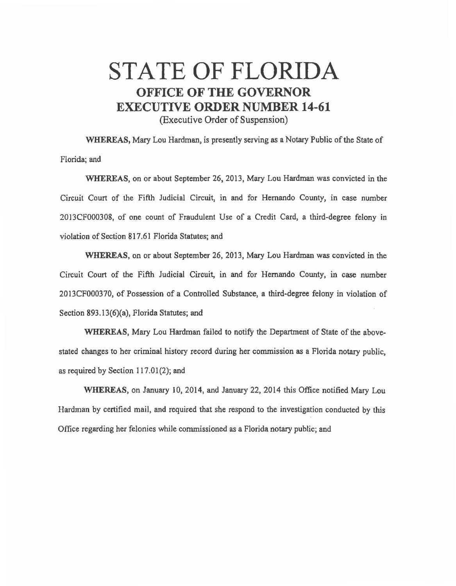## STATE OF FLORIDA **OFFICE OF THE GOVERNOR EXECUTIVE ORDER NUMBER 14-61**

(Executive Order of Suspension)

WHEREAS, Mary Lou Hardman, is presently serving as a Notary Public of the State of Florida; and

WHEREAS, on or about September 26, 2013, Mary Lou Hardman was convicted in the Circuit Court of the Fifth Judicial Circuit, in and for Hernando County, in case number 2013CF000308, of one count of Fraudulent Use of a Credit Card, a third-degree felony in violation of Section 817.61 Florida Statutes; and

WHEREAS, on or about September 26, 2013, Mary Lou Hardman was convicted in the Circuit Court of the Fifth Judicial Circuit, in and for Hernando Comity, in case number 2013CF000370, of Possession of a Controlled Substance, a third-degree felony in violation of Section 893.13(6)(a), Florida Statutes; and

WHEREAS, Mary Lou Hardman failed to notify the Department of State of the abovestated changes to her criminal history record during her commission as a Florida notary public, as required by Section 117.01(2); and

WHEREAS, on January 10, 2014, and January 22, 2014 this Office notified Mary Lou Hardman by certified mail, and required that she respond to the investigation conducted by this Office regarding her felonies while commissioned as a Florida notary public; and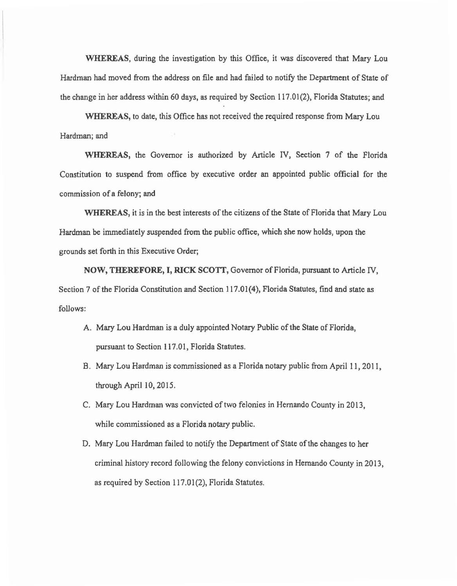WHEREAS, during the investigation by this Office, it was discovered that Mary Lou Hardman had moved from the address on file and had failed to notify the Department of State of the change in her address within 60 days, as required by Section 117.01(2), Florida Statutes; and

WHEREAS, to date, this Office has not received the required response from Mary Lou Hardman; and

WHEREAS, the Governor is authorized by Article IV, Section 7 of the Florida Constitution to suspend from office by executive order an appointed public official for the commission of a felony; and

WHEREAS, it is in the best interests of the citizens of the State of Florida that Mary Lou Hardman be immediately suspended from the public office, which she now holds, upon the grounds set forth in this Executive Order;

NOW, THEREFORE, I, RICK SCOTT, Governor of Florida, pursuant to Article IV, Section 7 of the Florida Constitution and Section 117.01(4), Florida Statutes, find and state as follows:

- A. Mary Lou Hardman is a duly appointed Notary Public of the State of Florida, pursuant to Section 117.01, Florida Statutes.
- B. Mary Lou Hardman is commissioned as a Florida notary public from April 11, 2011, through April 10, 2015.
- C. Mary Lou Hardman was convicted of two felonies in Hernando County in 2013, while commissioned as a Florida notary public.
- D. Mary Lou Hardman failed to notify the Department of State of the changes to her criminal history record following the felony convictions in Hernando County in 2013, as required by Section 117.01(2), Florida Statutes.